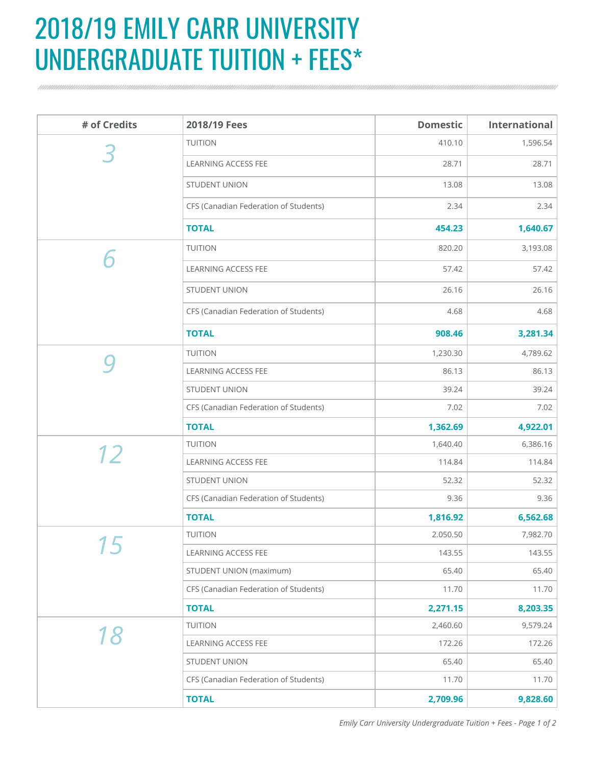## 2018/19 EMILY CARR UNIVERSITY UNDERGRADUATE TUITION + FEES\*

| # of Credits | 2018/19 Fees                          | <b>Domestic</b> | <b>International</b> |
|--------------|---------------------------------------|-----------------|----------------------|
|              | <b>TUITION</b>                        | 410.10          | 1,596.54             |
|              | <b>LEARNING ACCESS FEE</b>            | 28.71           | 28.71                |
|              | <b>STUDENT UNION</b>                  | 13.08           | 13.08                |
|              | CFS (Canadian Federation of Students) | 2.34            | 2.34                 |
|              | <b>TOTAL</b>                          | 454.23          | 1,640.67             |
|              | <b>TUITION</b>                        | 820.20          | 3,193.08             |
|              | LEARNING ACCESS FEE                   | 57.42           | 57.42                |
|              | <b>STUDENT UNION</b>                  | 26.16           | 26.16                |
|              | CFS (Canadian Federation of Students) | 4.68            | 4.68                 |
|              | <b>TOTAL</b>                          | 908.46          | 3,281.34             |
|              | <b>TUITION</b>                        | 1,230.30        | 4,789.62             |
|              | <b>LEARNING ACCESS FEE</b>            | 86.13           | 86.13                |
|              | <b>STUDENT UNION</b>                  | 39.24           | 39.24                |
|              | CFS (Canadian Federation of Students) | 7.02            | 7.02                 |
|              | <b>TOTAL</b>                          | 1,362.69        | 4,922.01             |
| 12           | <b>TUITION</b>                        | 1,640.40        | 6,386.16             |
|              | <b>LEARNING ACCESS FEE</b>            | 114.84          | 114.84               |
|              | <b>STUDENT UNION</b>                  | 52.32           | 52.32                |
|              | CFS (Canadian Federation of Students) | 9.36            | 9.36                 |
|              | <b>TOTAL</b>                          | 1,816.92        | 6,562.68             |
| 15           | <b>TUITION</b>                        | 2.050.50        | 7,982.70             |
|              | LEARNING ACCESS FEE                   | 143.55          | 143.55               |
|              | <b>STUDENT UNION (maximum)</b>        | 65.40           | 65.40                |
|              | CFS (Canadian Federation of Students) | 11.70           | 11.70                |
|              | <b>TOTAL</b>                          | 2,271.15        | 8,203.35             |
| <i>18</i>    | <b>TUITION</b>                        | 2,460.60        | 9,579.24             |
|              | LEARNING ACCESS FEE                   | 172.26          | 172.26               |
|              | <b>STUDENT UNION</b>                  | 65.40           | 65.40                |
|              | CFS (Canadian Federation of Students) | 11.70           | 11.70                |
|              | <b>TOTAL</b>                          | 2,709.96        | 9,828.60             |

*Emily Carr University Undergraduate Tuition + Fees - Page 1 of 2*